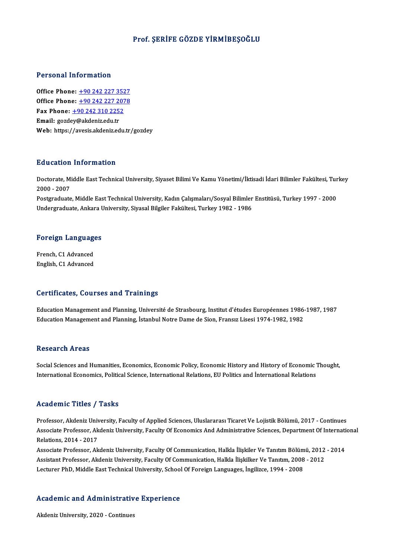### Prof. ŞERİFE GÖZDE YİRMİBEŞOĞLU

#### Personal Information

Office Phone: +90 242 227 3527 Office Phone: <u>+90 242 227 3527</u><br>Office Phone: <u>+90 242 227 2078</u><br>Fax Phone: 190 242 210 2252 Office Phone: <u>+90 242 227 352</u><br>Office Phone: <u>+90 242 227 207</u><br>Fax Phone: <u>+90 242 310 2252</u> Office Phone: <u>+90 242 227 2</u><br>Fax Phone: <u>+90 242 310 225</u><br>Email: gozd[ey@akdeniz.edu.tr](tel:+90 242 310 2252) Fax Phone: <u>+90 242 310 2252</u><br>Email: gozdey@akdeniz.edu.tr<br>Web: https://avesis.akdeniz.edu.tr/gozdey

#### Education Information

**Education Information**<br>Doctorate, Middle East Technical University, Siyaset Bilimi Ve Kamu Yönetimi/İktisadi İdari Bilimler Fakültesi, Turkey<br>2000–2007 2000 -2007 Doctorate, Middle East Technical University, Siyaset Bilimi Ve Kamu Yönetimi/İktisadi İdari Bilimler Fakültesi, Tur<br>2000 - 2007<br>Postgraduate, Middle East Technical University, Kadın Çalışmaları/Sosyal Bilimler Enstitüsü, T

Postgraduate, Middle East Technical University, Kadın Çalışmaları/Sosyal Bilimler Enstitüsü, Turkey 1997 - 2000<br>Undergraduate, Ankara University, Siyasal Bilgiler Fakültesi, Turkey 1982 - 1986

# <sub>Undergraduate, Ankara t<br>Foreign Languages</sub>

**Foreign Language<br>French, C1 Advanced<br>English, C1 Advanced** French, C1 Advanced<br>English, C1 Advanced

#### Certificates, Courses and Trainings

Certificates, Courses and Trainings<br>Education Management and Planning, Université de Strasbourg, Institut d'études Européennes 1986-1987, 1987<br>Education Management and Planning, Istanbul Notre Dame de Sien, Erangy Lisesi 1 Education Management and Planning, Université de Strasbourg, Institut d'études Européennes 1986<br>Education Management and Planning, İstanbul Notre Dame de Sion, Fransız Lisesi 1974-1982, 1982 Education Management and Planning, İstanbul Notre Dame de Sion, Fransız Lisesi 1974-1982, 1982<br>Research Areas

Research Areas<br>Social Sciences and Humanities, Economics, Economic Policy, Economic History and History of Economic Thought,<br>International Economics, Political Science, International Polations, EU Politics and Internationa Incocur en III cao<br>Social Sciences and Humanities, Economics, Economic Policy, Economic History and History of Economic '<br>International Economics, Political Science, International Relations, EU Politics and İnternational R International Economics, Political Science, International Relations, EU Politics and International Relations<br>Academic Titles / Tasks

Professor, Akdeniz University, Faculty of Applied Sciences, Uluslararası Ticaret Ve Lojistik Bölümü, 2017 - Continues AssociateMice Profes / Professor<br>Professor, Akdeniz University, Faculty of Applied Sciences, Uluslararası Ticaret Ve Lojistik Bölümü, 2017 - Continues<br>Associate Professor, Akdeniz University, Faculty Of Economics And Admin Professor, Akdeniz Univ<br>Associate Professor, Ak<br>Relations, 2014 - 2017<br>Associate Professor, Ak Associate Professor, Akdeniz University, Faculty Of Economics And Administrative Sciences, Department Of Internati<br>Relations, 2014 - 2017<br>Associate Professor, Akdeniz University, Faculty Of Communication, Halkla İlişkiler

Relations, 2014 - 2017<br>Associate Professor, Akdeniz University, Faculty Of Communication, Halkla İlişkiler Ve Tanıtım Bölümü, 2012<br>Assistant Professor, Akdeniz University, Faculty Of Communication, Halkla İlişkilker Ve Tan Associate Professor, Akdeniz University, Faculty Of Communication, Halkla İlişkiler Ve Tanıtım Bölüm<br>Assistant Professor, Akdeniz University, Faculty Of Communication, Halkla İlişkilker Ve Tanıtım, 2008<br>Lecturer PhD, Middl

# Lecturer PhD, Middle East Technical University, School<br>Academic and Administrative Experience A<mark>cademic and Administrativ</mark><br>Akdeniz University, 2020 - Continues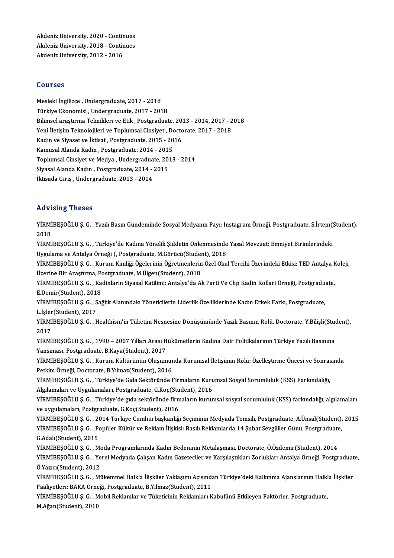Akdeniz University, 2020 - Continues<br>Akdeniz University, 2020 - Continues Akdeniz University, 2020 - Continues<br>Akdeniz University, 2018 - Continues<br>Akdeniz University, 2012 - 2016 Akdeniz University, 2020 - Contir<br>Akdeniz University, 2018 - Contir<br>Akdeniz University, 2012 - 2016 Akdeniz University, 2012 - 2016<br>Courses

Mesleki İngilizce, Undergraduate, 2017 - 2018 Türkiye Ekonomisi, Undergraduate, 2017 - 2018 Bilimsel arastırma Teknikleri ve Etik, Postgraduate, 2013 - 2014, 2017 - 2018 Türkiye Ekonomisi , Undergraduate, 2017 - 2018<br>Bilimsel araştırma Teknikleri ve Etik , Postgraduate, 2013 - 2014, 2017 - 2<br>Yeni İletişim Teknolojileri ve Toplumsal Cinsiyet , Doctorate, 2017 - 2018<br>Kadın ve Siyeset ve İlti Bilimsel araştırma Teknikleri ve Etik , Postgraduate, 2013<br>Yeni İletişim Teknolojileri ve Toplumsal Cinsiyet , Docto<br>Kadın ve Siyaset ve İktisat , Postgraduate, 2015 - 2016<br>Kamusal Alanda Kadın, Postgraduate, 2014 - 2015 Kadın ve Siyaset ve İktisat, Postgraduate, 2015 - 2016 Kadın ve Siyaset ve İktisat , Postgraduate, 2015 - 2016<br>Kamusal Alanda Kadın , Postgraduate, 2014 - 2015<br>Toplumsal Cinsiyet ve Medya , Undergraduate, 2013 - 2014<br>Siyasal Alanda Kadın , Rostgraduate, 2014 - 2015 Kamusal Alanda Kadın , Postgraduate, 2014 - 2015<br>Toplumsal Cinsiyet ve Medya , Undergraduate, 201<br>Siyasal Alanda Kadın , Postgraduate, 2014 - 2015<br>İktisada Giris , Undergraduate, 2013 - 2014 Toplumsal Cinsiyet ve Medya , Undergradua<br>Siyasal Alanda Kadın , Postgraduate, 2014 -<br>İktisada Giriş , Undergraduate, 2013 - 2014

#### Advising Theses

**Advising Theses**<br>YİRMİBEŞOĞLU Ş. G. , Yazılı Basın Gündeminde Sosyal Medyanın Payı: Instagram Örneği, Postgraduate, S.İrtem(Student),<br>2018 rravi<br>YİRMİ<br>2018<br><sub>VİRMİ</sub> YİRMİBEŞOĞLU Ş. G. , Yazılı Basın Gündeminde Sosyal Medyanın Payı: Instagram Örneği, Postgraduate, S.İrtem(:<br>2018<br>YİRMİBEŞOĞLU Ş. G. , Türkiye'de Kadına Yönelik Şiddetin Önlenmesinde Yasal Mevzuat: Emniyet Birimlerindeki<br>U 2018<br>YİRMİBEŞOĞLU Ş. G. , Türkiye'de Kadına Yönelik Şiddetin Önlenmesinde Yasal Mevzuat: Emniyet Birimlerindeki YİRMİBEŞOĞLU Ş. G. , Kurum Kimliği Öğelerinin Öğretmenlerin Özel Okul Tercihi Üzerindeki Etkisi: TED Antalya Koleji<br>Üzerine Bir Araştırma, Postgraduate, M.Ülgen(Student), 2018 Uygulama ve Antalya Örneği (, Postgraduate, M.Görücü(Student), 2018 YİRMİBEŞOĞLU Ş. G. , Kurum Kimliği Öğelerinin Öğretmenlerin Özel Okul Tercihi Üzerindeki Etkisi: TED Antalya F<br>Üzerine Bir Araştırma, Postgraduate, M.Ülgen(Student), 2018<br>YİRMİBEŞOĞLU Ş. G. , Kadinlarin Siyasal Katilimi: A Üzerine Bir Araştırma, Po<br>YİRMİBEŞOĞLU Ş. G. , Ka<br>E.Demir(Student), 2018<br>YİRMİBESOĞLU S. G. Soğ YİRMİBEŞOĞLU Ş. G. , Kadinlarin Siyasal Katilimi: Antalya'da Ak Parti Ve Chp Kadin Kollari Örneği, Postgradu<br>E.Demir(Student), 2018<br>YİRMİBEŞOĞLU Ş. G. , Sağlık Alanındakı Yöneticilerin Liderlik Özelliklerinde Kadın Erkek F E.Demir(Student), 2018<br>YİRMİBEŞOĞLU Ş. G. , Sağlık Alanındakı Yöneticilerin Liderlik Özelliklerinde Kadın Erkek Farkı, Postgraduate,<br>L.İşler(Student), 2017 YİRMİBEŞOĞLU Ş. G. , Sağlık Alanındakı Yöneticilerin Liderlik Özelliklerinde Kadın Erkek Farkı, Postgraduate,<br>L.İşler(Student), 2017<br>YİRMİBEŞOĞLU Ş. G. , Healthism'in Tüketim Nesnesine Dönüşümünde Yazılı Basının Rolü, Doct L.İşler<br>YİRMİ<br>2017<br><sup>VİDMİ</sub></sup> YİRMİBEŞOĞLU Ş. G. , Healthism'in Tüketim Nesnesine Dönüşümünde Yazılı Basının Rolü, Doctorate, Y.Bilişli(Stud<br>2017<br>YİRMİBEŞOĞLU Ş. G. , 1990 – 2007 Yılları Arası Hükümetlerin Kadına Dair Politikalarının Türkiye Yazılı Bas 2017<br>YİRMİBEŞOĞLU Ş. G. , 1990 – 2007 Yılları Arası H<br>Yansıması, Postgraduate, B.Kaya(Student), 2017<br>YİRMİRESOĞLU S. G., Kurum Kültürünün Olyaum YİRMİBEŞOĞLU Ş. G. , 1990 – 2007 Yılları Arası Hükümetlerin Kadına Dair Politikalarının Türkiye Yazılı Basınına<br>Yansıması, Postgraduate, B.Kaya(Student), 2017<br>YİRMİBEŞOĞLU Ş. G. , Kurum Kültürünün Oluşumunda Kurumsal İleti Yansıması, Postgraduate, B.Kaya(Student), 2017<br>YİRMİBEŞOĞLU Ş. G. , Kurum Kültürünün Oluşumunda Kurumsal İletişimin Rolü: Özelleştirme Öncesi ve Sonrasında<br>Petkim Örneği, Doctorate, B.Yılmaz(Student), 2016 YİRMİBEŞOĞLU Ş. G. , Kurum Kültürünün Oluşumunda Kurumsal İletişimin Rolü: Özelleştirme Öncesi ve Sonras<br>Petkim Örneği, Doctorate, B.Yılmaz(Student), 2016<br>YİRMİBEŞOĞLU Ş. G. , Türkiye'de Gıda Sektöründe Firmaların Kurumsal Petkim Örneği, Doctorate, B.Yılmaz(Student), 2016<br>YİRMİBEŞOĞLU Ş. G. , Türkiye'de Gıda Sektöründe Firmaların Kuru<br>Algılamaları ve Uygulamaları, Postgraduate, G.Koç(Student), 2016<br>VİRMİRESOĞLU S. G., Türkiye'de gida sektörü Algılamaları ve Uygulamaları, Postgraduate, G.Koç(Student), 2016<br>YİRMİBEŞOĞLU Ş. G. , Türkiye'de gıda sektöründe firmaların kurumsal sosyal sorumluluk (KSS) farkındalığı, algılamaları ve uygulamaları, Postgraduate, G.Koç(Student), 2016 YİRMİBEŞOĞLU Ş. G. , Türkiye'de gıda sektöründe firmaların kurumsal sosyal sorumluluk (KSS) farkındalığı, algılamaları<br>ve uygulamaları, Postgraduate, G.Koç(Student), 2016<br>YİRMİBEŞOĞLU Ş. G. , 2014 Türkiye Cumhurbaşkanlığı ve uygulamaları, Postgraduate, G.Koç(Student), 2016<br>YİRMİBEŞOĞLU Ş. G. , 2014 Türkiye Cumhurbaşkanlığı Seçiminin Medyada Temsili, Postgraduate, A.Ünsal(Student),<br>YİRMİBEŞOĞLU Ş. G. , Popüler Kültür ve Reklam İlişkisi: Bası YİRMİBEŞOĞLU Ş. G. , 20<br>YİRMİBEŞOĞLU Ş. G. , Po<br>G.Adalı(Student), 2015<br>YİRMİBESOĞLU S. G. M YİRMİBEŞOĞLU Ş. G. , Popüler Kültür ve Reklam İlişkisi: Basılı Reklamlarda 14 Şubat Sevgililer Günü, Postgraduate,<br>G.Adalı(Student), 2015<br>YİRMİBESOĞLU S. G. , Moda Programlarında Kadın Bedeninin Metalaşması, Doctorate, Ö.Ö G.Adalı(Student), 2015<br>YİRMİBEŞOĞLU Ş. G. , Moda Programlarında Kadın Bedeninin Metalaşması, Doctorate, Ö.Özdemir(Student), 2014<br>YİRMİBEŞOĞLU Ş. G. , Yerel Medyada Çalışan Kadın Gazeteciler ve Karşılaştıkları Zorluklar: An Ö.Yazıcı(Student),2012 YİRMİBEŞOĞLU Ş. G. , Yerel Medyada Çalışan Kadın Gazeteciler ve Karşılaştıkları Zorluklar: Antalya Örneği, Postgraduat<br>Ö.Yazıcı(Student), 2012<br>YİRMİBEŞOĞLU Ş. G. , Mükemmel Halkla İlişkiler Yaklaşımı Açısından Türkiye'deki Ö.Yazıcı(Student), 2012<br>YİRMİBEŞOĞLU Ş. G. , Mükemmel Halkla İlişkiler Yaklaşımı Açısınd:<br>Faaliyetleri: BAKA Örneği, Postgraduate, B.Yılmaz(Student), 2011<br>YİBMİBESOĞLU S. G. Mobil Baltlamlar ve Tükatisinin Baltlamları K YİRMİBEŞOĞLU Ş. G. , Mükemmel Halkla İlişkiler Yaklaşımı Açısından Türkiye'deki Kalkınma Ajanslarının Halkl<br>Faaliyetleri: BAKA Örneği, Postgraduate, B.Yılmaz(Student), 2011<br>YİRMİBEŞOĞLU Ş. G. , Mobil Reklamlar ve Tüketicin Faaliyetleri: BAKA Örneği, Postgraduate, B.Yılmaz(Student), 2011<br>YİRMİBEŞOĞLU Ş. G. , Mobil Reklamlar ve Tüketicinin Reklamları Kabulünü Etkileyen Faktörler, Postgraduate,<br>M.Ağan(Student), 2010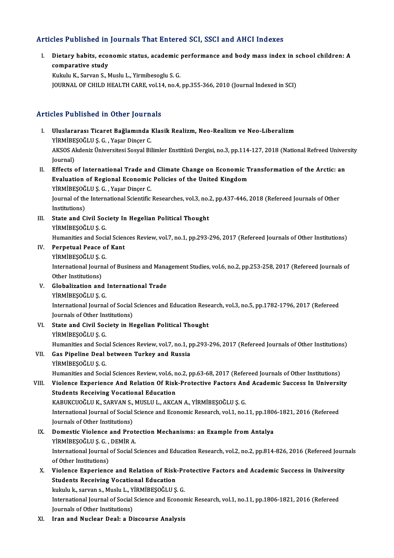## Articles Published in Journals That Entered SCI, SSCI and AHCI Indexes

I. Dietary habits, economic status, academic performance and bodymass index in school children: A comparative study<br>Dietary habits, econ<br>comparative study<br>Kulphy K. Servan S. A comparative study<br>Kukulu K., Sarvan S., Muslu L., Yirmibesoglu S. G.

JOURNAL OF CHILD HEALTH CARE, vol.14, no.4, pp.355-366, 2010 (Journal Indexed in SCI)

## Articles Published in Other Journals

- rticles Published in Other Journals<br>I. Uluslararası Ticaret Bağlamında Klasik Realizm, Neo-Realizm ve Neo-Liberalizm<br>vipMiRESOČLUS G. Yasar Dincer G YIRMİBEŞOĞLU Ş.G. , Yaşar Dinçer C.<br>YİRMİBEŞOĞLU Ş. G. , Yaşar Dinçer C.<br>AKSOS Aldeniz Üniversitesi Sesval Bil AKSOS Akdeniz Üniversitesi Sosyal Bilimler Enstitüsü Dergisi, no.3, pp.114-127, 2018 (National Refreed University<br>Journal) YİRMİBEŞOĞLU Ş. G., Yaşar Dinçer C. AKSOS Akdeniz Üniversitesi Sosyal Bilimler Enstitüsü Dergisi, no.3, pp.114-127, 2018 (National Refreed Univer<br>Journal)<br>II. Effects of International Trade and Climate Change on Economic Transformation of the Arctic: an<br>Eval
- Journal)<br>Effects of International Trade and Climate Change on Economic T<br>Evaluation of Regional Economic Policies of the United Kingdom<br>ViPMIPESOČLUS G., Yasar Dinser G Effects of International Trade an<br>Evaluation of Regional Economic<br>YİRMİBEŞOĞLUŞ.G., Yaşar Dinçer C.<br>Journal of the International Scientific YİRMİBEŞOĞLU Ş. G., Yaşar Dinçer C.

Evaluation of Regional Economic Policies of the United Kingdom<br>YİRMİBEŞOĞLU Ş. G. , Yaşar Dinçer C.<br>Journal of the International Scientific Researches, vol.3, no.2, pp.437-446, 2018 (Refereed Journals of Other<br>Institutions

III. State and Civil Society In Hegelian Political Thought YİRMİBEŞOĞLUŞ.G.

Humanities and Social Sciences Review, vol.7, no.1, pp.293-296, 2017 (Refereed Journals of Other Institutions)

IV. Perpetual Peace of Kant Humanities and Socian<br>Perpetual Peace of<br>YİRMİBEŞOĞLU Ş. G.<br>International Iourna

International Journal of Business and Management Studies, vol.6, no.2, pp.253-258, 2017 (Refereed Journals of<br>Other Institutions) YİRMİBEŞOĞLU Ş. (<br>International Journ<br>Other Institutions)<br>Clebalization and International Journal of Business and Mana<br>Other Institutions)<br>V. Globalization and International Trade<br>VipMipESOČLUS C

- Other Institutions)<br>Globalization and<br>YİRMİBEŞOĞLU Ş. G.<br>International Iourna Globalization and International Trade<br>YİRMİBEŞOĞLU Ş. G.<br>International Journal of Social Sciences and Education Research, vol.3, no.5, pp.1782-1796, 2017 (Refereed<br>Journals of Other Institutions) YİRMİBEŞOĞLU Ş. G.<br>International Journal of Social<br>Journals of Other Institutions)<br>State and Civil Sociaty in H
- VI. State and Civil Society in Hegelian Political Thought Journals of Other Institutions) State and Civil Society in Hegelian Political Thought<br>YİRMİBEŞOĞLU Ş. G.<br>Humanities and Social Sciences Review, vol.7, no.1, pp.293-296, 2017 (Refereed Journals of Other Institutions) YİRMİBEŞOĞLU Ş. G.<br>Humanities and Social Sciences Review, vol.7, no.1, p<br>VII. Gas Pipeline Deal between Turkey and Russia<br>VIPMİBESOĞLU S. C

# Humanities and Socian<br>Gas Pipeline Deal<br>YİRMİBEŞOĞLU Ş. G.<br>Humanities and Socia Gas Pipeline Deal between Turkey and Russia<br>YİRMİBEŞOĞLU Ş. G.<br>Humanities and Social Sciences Review, vol.6, no.2, pp.63-68, 2017 (Refereed Journals of Other Institutions)<br>Vielence Eunonianes And Peletian Of Biek Protectiv

YİRMİBEŞOĞLU Ş. G.<br>Humanities and Social Sciences Review, vol.6, no.2, pp.63-68, 2017 (Refereed Journals of Other Institutions)<br>VIII. Violence Experience And Relation Of Risk-Protective Factors And Academic Success In Univ Humanities and Social Sciences Review, vol.6, n<br>Violence Experience And Relation Of Risk<br>Students Receiving Vocational Education<br>VARUVCUOČUU V. SARVAN S. MUSLU L. AVCA Violence Experience And Relation Of Risk-Protective Factors An<br>Students Receiving Vocational Education<br>KABUKCUOĞLU K., SARVAN S., MUSLU L., AKCAN A., YİRMİBEŞOĞLU Ş. G.<br>International Jaurnal of Social Science and Economic

International Journal of Social Science and Economic Research, vol.1, no.11, pp.1806-1821, 2016 (Refereed Journals of Other Institutions) KABUKCUOĞLU K., SARVAN S.,<br>International Journal of Social<br>Journals of Other Institutions)<br>Domestis Violonse and Bro International Journal of Social Science and Economic Research, vol.1, no.11, pp.1806<br>Journals of Other Institutions)<br>IX. Domestic Violence and Protection Mechanisms: an Example from Antalya<br>VipMipESOČLUS G. DEMip A

## Journals of Other Institutions)<br>Domestic Violence and Prote<br>YİRMİBEŞOĞLUŞ.G. , DEMİR A.<br>International Journal of Social S International Journal of Social Sciences and Education Research, vol.2, no.2, pp.814-826, 2016 (Refereed Journals of Other Institutions) YİRMİBEŞOĞLU Ş. G., DEMİR A. International Journal of Social Sciences and Education Research, vol.2, no.2, pp.814-826, 2016 (Refereed Journ<br>of Other Institutions)<br>X. Violence Experience and Relation of Risk-Protective Factors and Academic Success in U

## of Other Institutions)<br>Violence Experience and Relation of Risk<br>Students Receiving Vocational Education<br>Inlulu k. servans, Muslu L. ViPMIPESOČLUS Students Receiving Vocational Education<br>kukulu k., sarvan s., Muslu L., YİRMİBEŞOĞLU Ş. G.

Students Receiving Vocational Education<br>kukulu k., sarvan s., Muslu L., YİRMİBEŞOĞLU Ş. G.<br>International Journal of Social Science and Economic Research, vol.1, no.11, pp.1806-1821, 2016 (Refereed<br>Journals of Other Institu kukulu k., sarvan s., Muslu L., Y<br>International Journal of Social<br>Journals of Other Institutions)<br>Iran and Nuclear Deal: a Di International Journal of Social Science and Econor<br>Journals of Other Institutions)<br>XI. Iran and Nuclear Deal: a Discourse Analysis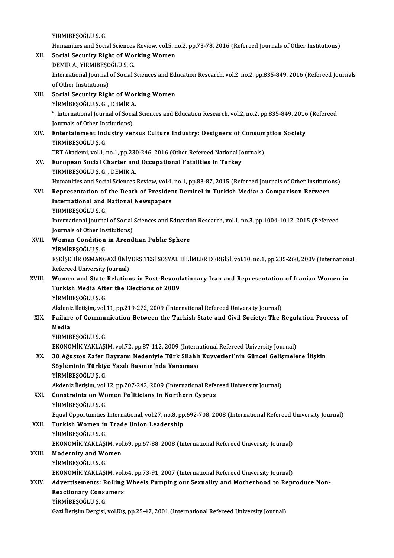YİRMİBEŞOĞLU Ş. G. Humanities and Social Sciences Review, vol.5, no.2, pp.73-78, 2016 (Refereed Journals of Other Institutions) YİRMİBEŞOĞLU Ş. G.<br>Humanities and Social Sciences Review, vol.5, n<br>XII. Social Security Right of Working Women Humanities and Social Sciences<br>Social Security Right of Wo<br>DEMİR A., YİRMİBEŞOĞLU Ş. G.<br>International Journal of Social I International Journal of Social Sciences and Education Research, vol.2, no.2, pp.835-849, 2016 (Refereed Journals of Other Institutions) DEMIR A., YIRMIBEŞOĞLU Ş. G. International Journal of Social Sciences and Ed<br>of Other Institutions)<br>XIII. Social Security Right of Working Women<br>VIPMIPESOČIJI S.C. DEMIP A of Other Institutions)<br>Social Security Right of Wor<br>YİRMİBEŞOĞLUŞ.G., DEMİR A.<br>" International Jaurnal of Social Social Security Right of Working Women<br>YİRMİBEŞOĞLU Ş. G. , DEMİR A.<br>", International Journal of Social Sciences and Education Research, vol.2, no.2, pp.835-849, 2016 (Refereed<br>Journals of Other Institutions) YİRMİBEŞOĞLU Ş. G. , DEMİR A<br>", International Journal of Socia<br>Journals of Other Institutions)<br>Entertainment Industry yor ", International Journal of Social Sciences and Education Research, vol.2, no.2, pp.835-849, 2016<br>Journals of Other Institutions)<br>XIV. Entertainment Industry versus Culture Industry: Designers of Consumption Society<br>VIPMIP Journals of Other Ins<br><mark>Entertainment Ind</mark><br>YİRMİBEŞOĞLU Ş. G.<br>TPT Alradami vel 1 . Entertainment Industry versus Culture Industry: Designers of Consum<br>YİRMİBEŞOĞLU Ş. G.<br>TRT Akademi, vol.1, no.1, pp.230-246, 2016 (Other Refereed National Journals)<br>Europeen Social Charter and Occupational Estalities in Tu YİRMİBEŞOĞLU Ş. G.<br>TRT Akademi, vol.1, no.1, pp.230-246, 2016 (Other Refereed National Jo<br>XV. European Social Charter and Occupational Fatalities in Turkey<br>VIPMİRESOĞLU S. G. DEMİR A TRT Akademi, vol.1, no.1, pp.23)<br>European Social Charter and<br>YİRMİBEŞOĞLUŞ. G. , DEMİR A.<br>Humanities and Social Sciences European Social Charter and Occupational Fatalities in Turkey<br>YİRMİBEŞOĞLU Ş. G. , DEMİR A.<br>Humanities and Social Sciences Review, vol.4, no.1, pp.83-87, 2015 (Refereed Journals of Other Institutions)<br>Pennesentation of the YİRMİBEŞOĞLU Ş. G. , DEMİR A.<br>Humanities and Social Sciences Review, vol.4, no.1, pp.83-87, 2015 (Refereed Journals of Other Institutio<br>XVI. Representation of the Death of President Demirel in Turkish Media: a Comparison B Humanities and Social Sciences Review, vol.4,<br>Representation of the Death of Presider<br>International and National Newspapers<br>VIRMIRESOČLUS C YİRMİBEŞOĞLUŞ.G. International and National Newspapers<br>YİRMİBEŞOĞLU Ş. G.<br>International Journal of Social Sciences and Education Research, vol.1, no.3, pp.1004-1012, 2015 (Refereed<br>Journals of Other Institutione) YİRMİBEŞOĞLU Ş. G.<br>International Journal of Social<br>Journals of Other Institutions)<br>Woman Condition in Arond International Journal of Social Sciences and Education<br>Journals of Other Institutions)<br>XVII. Woman Condition in Arendtian Public Sphere<br>VIPMIPESOČIJI S.C Journals of Other Institutions)<br>XVII. Woman Condition in Arendtian Public Sphere<br>YİRMİBEŞOĞLU Ş.G. Woman Condition in Arendtian Public Sphere<br>YİRMİBEŞOĞLU Ş. G.<br>ESKİŞEHİR OSMANGAZİ ÜNİVERSİTESİ SOSYAL BİLİMLER DERGİSİ, vol.10, no.1, pp.235-260, 2009 (International<br>Refereed University Jeurnal) YİRMİBEŞOĞLU Ş. G.<br>ESKİŞEHİR OSMANGAZİ ÜNİV<br>Refereed University Journal)<br>Woman and State Belation ESKİŞEHİR OSMANGAZİ ÜNİVERSİTESİ SOSYAL BİLİMLER DERGİSİ, vol.10, no.1, pp.235-260, 2009 (Internation<br>Refereed University Journal)<br>XVIII. Women and State Relations in Post-Revoulationary Iran and Representation of Iranian Refereed University Journal)<br>Women and State Relations in Post-Revoul<br>Turkish Media After the Elections of 2009<br>VipMiPESOČLUS C Women and State<br>Turkish Media Afte<br>YİRMİBEŞOĞLUŞ.G.<br>Akdaniz İlatisim vel. Turkish Media After the Elections of 2009<br>YİRMİBEŞOĞLU Ş. G.<br>Akdeniz İletişim, vol.11, pp.219-272, 2009 (International Refereed University Journal)<br>Failure of Communisation Between the Turkish State and Civil Society: The YİRMİBEŞOĞLU Ş. G.<br>Akdeniz İletişim, vol.11, pp.219-272, 2009 (International Refereed University Journal)<br>XIX. Failure of Communication Between the Turkish State and Civil Society: The Regulation Process of<br>Media Akdeni<mark>:</mark><br>Failure<br>Media<br>vip*m*ip YİRMİBEŞOĞLUŞ.G. EKONOMİK YAKLAŞIM, vol.72, pp.87-112, 2009 (International Refereed University Journal) XX. 30 Ağustos Zafer Bayramı Nedeniyle Türk Silahlı Kuvvetleri'nin Güncel Gelişmelere İlişkin EKONOMİK YAKLAŞIM, vol.72, pp.87-112, 2009 (Intern<br>30 Ağustos Zafer Bayramı Nedeniyle Türk Silahlı<br>Söyleminin Türkiye Yazılı Basının'nda Yansıması<br>VİRMİRESOĞLUS G 30 Ağustos Zafer I<br>Söyleminin Türkiy<br>YİRMİBEŞOĞLU Ş.G.<br>Akdaniz İlatisim vel YİRMİBEŞOĞLU Ş. G.<br>Akdeniz İletişim, vol.12, pp.207-242, 2009 (International Refereed University Journal) YİRMİBEŞOĞLU Ş. G.<br>Akdeniz İletişim, vol.12, pp.207-242, 2009 (International Refe:<br>XXI. Constraints on Women Politicians in Northern Cyprus<br>VIPMİPESOĞLUS C Akdeniz İletişim, vol.<br>Constraints on Wo<br>YİRMİBEŞOĞLU Ş. G.<br>Faual Opportunities YİRMİBEŞOĞLU Ş. G.<br>Equal Opportunities International, vol.27, no.8, pp.692-708, 2008 (International Refereed University Journal) YİRMİBEŞOĞLU Ş. G.<br>Equal Opportunities International, vol.27, no.8, pp<br>XXII. Turkish Women in Trade Union Leadership<br>VIDMİBESOĞLU S. C Equal Opportunities<br>Turkish Women in<br>YİRMİBEŞOĞLU Ş. G.<br>EKONOMİK YAKLASI Turkish Women in Trade Union Leadership<br>YİRMİBEŞOĞLU Ş. G.<br>EKONOMİK YAKLAŞIM, vol.69, pp.67-88, 2008 (International Refereed University Journal)<br>Medernity and Women YİRMİBEŞOĞLU Ş. G.<br>EKONOMİK YAKLAŞIM, vol<br>XXIII. Modernity and Women EKONOMİK YAKLAŞI<br>Modernity and Wo<br>YİRMİBEŞOĞLU Ş. G.<br>EKONOMİK YAKLASI Modernity and Women<br>1976 - YiRMİBEŞOĞLU Ş. G.<br>EKONOMİK YAKLAŞIM, vol.64, pp.73-91, 2007 (International Refereed University Journal) YİRMİBEŞOĞLU Ş. G.<br>EKONOMİK YAKLAŞIM, vol.64, pp.73-91, 2007 (International Refereed University Journal)<br>XXIV. Advertisements: Rolling Wheels Pumping out Sexuality and Motherhood to Reproduce Non-<br>Pesstianary Consumers EKONOMİK YAKLAŞIM, vol.<br>Advertisements: Rolling<br>Reactionary Consumers<br>VIBMİPESOĞLUS C Advertisements: R<br>Reactionary Consu<br>YİRMİBEŞOĞLU Ş. G.<br>Ceri İletisim Dengisi Reactionary Consumers<br>TiRMiBEŞOĞLU Ş. G.<br>Gazi İletişim Dergisi, vol.Kış, pp.25-47, 2001 (International Refereed University Journal)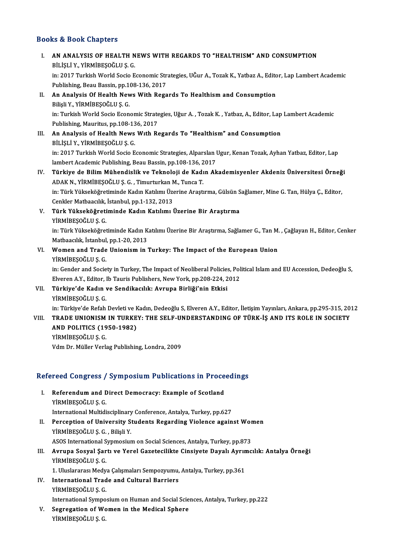### Books&Book Chapters

OOks & Book Chapters<br>I. AN ANALYSIS OF HEALTH NEWS WITH REGARDS TO "HEALTHISM" AND CONSUMPTION ET ET BILIŞLIY.<br>BİLİŞLİY., YİRMİBEŞOĞLU Ş. G.<br>in: 2017.Turkish Warld Socia E AN ANALYSIS OF HEALTH NEWS WITH REGARDS TO "HEALTHISM" AND CONSUMPTION<br>BİLİŞLİ Y., YİRMİBEŞOĞLU Ş. G.<br>in: 2017 Turkish World Socio Economic Strategies, UĞur A., Tozak K., Yatbaz A., Editor, Lap Lambert Academic<br>Publishing BİLİŞLİ Y., YİRMİBEŞOĞLU Ş. G.<br>in: 2017 Turkish World Socio Economic Str<br>Publishing, Beau Bassin, pp.108-136, 2017<br>An Analysis Of Health Navy, With Boga in: 2017 Turkish World Socio Economic Strategies, UĞur A., Tozak K., Yatbaz A., Edito<br>Publishing, Beau Bassin, pp.108-136, 2017<br>II. An Analysis Of Health News With Regards To Healthism and Consumption<br>Pilieli V. VIPMIPESOČ Publishing, Beau Bassin, pp.108-136, 2017<br>II. An Analysis Of Health News With Regards To Healthism and Consumption<br>Bilişli Y., YİRMİBEŞOĞLU Ş. G. An Analysis Of Health News With Regards To Healthism and Consumption<br>Bilişli Y., YİRMİBEŞOĞLU Ş. G.<br>in: Turkish World Socio Economic Strategies, Uğur A. , Tozak K. , Yatbaz, A., Editor, Lap Lambert Academic<br>Publishing Mour Bilişli Y., YİRMİBEŞOĞLU Ş. G.<br>in: Turkish World Socio Economic Strate<br>Publishing, Mauritus, pp.108-136, 2017<br>An Analysis of Hoalth Novye With Be in: Turkish World Socio Economic Strategies, Uğur A. , Tozak K. , Yatbaz, A., Editor, Lap<br>Publishing, Mauritus, pp.108-136, 2017<br>III. An Analysis of Health News With Regards To "Healthism" and Consumption<br>PURISTO II S.C. Publishing, Mauritus, pp.108-13<br>An Analysis of Health News<br>BİLİŞLİ Y., YİRMİBEŞOĞLU Ş. G.<br>in: 2017 Turkish Warld Socia E BİLİŞLİ Y., YİRMİBEŞOĞLU Ş. G.<br>in: 2017 Turkish World Socio Economic Strategies, Alparslan Ugur, Kenan Tozak, Ayhan Yatbaz, Editor, Lap lambert Academic Publishing, Beau Bassin, pp.108-136, 2017 In: 2017 Turkish World Socio Economic Strategies, Alparslan Ugur, Kenan Tozak, Ayhan Yatbaz, Editor, Lap<br>lambert Academic Publishing, Beau Bassin, pp.108-136, 2017<br>IV. Türkiye de Bilim Mühendislik ve Teknoloji de Kadın Aka lambert Academic Publishing, Beau Bassin, pp.108-136, 2<br><mark>Türkiye de Bilim Mühendislik ve Teknoloji de Kadı</mark><br>ADAK N., YİRMİBEŞOĞLU Ş. G. , Timurturkan M., Tunca T.<br>in: Türk Vükseköğretiminde Kadın Katılımı Üzerine Arastı Türkiye de Bilim Mühendislik ve Teknoloji de Kadın Akademisyenler Akdeniz Üniversitesi Örneğ<br>ADAK N., YİRMİBEŞOĞLU Ş. G. , Timurturkan M., Tunca T.<br>in: Türk Yükseköğretiminde Kadın Katılımı Üzerine Araştırma, Gülsün Sağlam ADAK N., YİRMİBEŞOĞLU Ş. G. , Timurturkan M<br>in: Türk Yükseköğretiminde Kadın Katılımı Üze<br>Cenkler Matbaacılık, İstanbul, pp.1-132, 2013<br>Türk Yükseköğretiminde Kadın Katılımı İ in: Türk Yükseköğretiminde Kadın Katılımı Üzerine Araştırma, Gülsün S<br>Cenkler Matbaacılık, İstanbul, pp.1-132, 2013<br>V. – Türk Yükseköğretiminde Kadın Katılımı Üzerine Bir Araştırma<br>V. – VIPMİPESOĞLUS G Cenkler Matbaacılık, İstanbul, pp.1-132, 2013<br>V. Türk Yükseköğretiminde Kadın Katılımı Üzerine Bir Araştırma<br>YİRMİBEŞOĞLU Ş. G. Türk Yükseköğretiminde Kadın Katılımı Üzerine Bir Araştırma<br>YİRMİBEŞOĞLU Ş. G.<br>in: Türk Yükseköğretiminde Kadın Katılımı Üzerine Bir Araştırma, Sağlamer G., Tan M. , Çağlayan H., Editor, Cenker<br>Mathaasılık İstanbul pp.1.20 YİRMİBEŞOĞLU Ş. G.<br>in: Türk Yükseköğretiminde Kadın K<br>Matbaacılık, İstanbul, pp.1-20, 2013<br>Wemen and Trade Unioniam in ' in: Türk Yükseköğretiminde Kadın Katılımı Üzerine Bir Araştırma, Sağlamer G., Tan M.<br>Matbaacılık, İstanbul, pp.1-20, 2013<br>VI. Women and Trade Unionism in Turkey: The Impact of the European Union<br>VIPMIPESOČLUS C Matbaacılık, İstanbul<br>Women and Trade<br>YİRMİBEŞOĞLU Ş. G.<br>in:Gordor and Socio YİRMİBEŞOĞLU Ş. G.<br>in: Gender and Society in Turkey, The Impact of Neoliberal Policies, Political Islam and EU Accession, Dedeoğlu S, YİRMİBEŞOĞLU Ş. G.<br>in: Gender and Society in Turkey, The Impact of Neoliberal Policies, Pol<br>Elveren A.Y., Editor, Ib Tauris Publishers, New York, pp.208-224, 2012<br>Türkiye'de Kodın ve Sandikasılık: Ayruna Birliği'nin Etkisi VII. Türkiye'de Kadın ve Sendikacılık: Avrupa Birliği'nin Etkisi<br>YİRMİBEŞOĞLU Ş. G. Elveren A.Y., Editor, l<br><mark>Türkiye'de Kadın</mark><br>YİRMİBEŞOĞLU Ş. G.<br>in: Türkiye'de Befah Türkiye'de Kadın ve Sendikacılık: Avrupa Birliği'nin Etkisi<br>YİRMİBEŞOĞLU Ş. G.<br>in: Türkiye'de Refah Devleti ve Kadın, Dedeoğlu S, Elveren A.Y., Editor, İletişim Yayınları, Ankara, pp.295-315, 2012<br>TRADE UNIONISM IN TURKEY, YİRMİBEŞOĞLU Ş. G.<br>11. Türkiye'de Refah Devleti ve Kadın, Dedeoğlu S, Elveren A.Y., Editor, İletişim Yayınları, Ankara, pp.295-315<br>12. YIII. TRADE UNIONISM IN TURKEY: THE SELF-UNDERSTANDING OF TÜRK-İŞ AND ITS ROLE IN S in: Türkiye'de Refah Devleti ve k<br>TRADE UNIONISM IN TURKE<br>AND POLITICS (1950-1982)<br>VIPMIPESOČULS C VIII. TRADE UNIONISM IN TURKEY: THE SELF-UNDERSTANDING OF TÜRK-İŞ AND ITS ROLE IN SOCIETY<br>AND POLITICS (1950-1982)<br>YİRMİBEŞOĞLU Ş. G. Vdm Dr. Müller Verlag Publishing, Londra, 2009

# vam Dr. Muner verlag Publishing, Londra, 2009<br>Refereed Congress / Symposium Publications in Proceedings

- efereed Congress / Symposium Publications in Proce<br>I. Referendum and Direct Democracy: Example of Scotland<br>VIPMIPESOČLUS C I. Referendum and Direct Democracy: Example of Scotland<br>YİRMİBEŞOĞLU Ş. G. International Multidisciplinary Conference, Antalya, Turkey, pp.627 YİRMİBEŞOĞLU Ş. G.<br>International Multidisciplinary Conference, Antalya, Turkey, pp.627<br>II. Perception of University Students Regarding Violence against Women<br>ViPMİPESOĞLU S. G. Biliqli V.
- YİRMİBEŞOĞLU Ş. G., Bilişli Y. Perception of University Students Regarding Violence against Wor<br>YİRMİBEŞOĞLU Ş. G. , Bilişli Y.<br>ASOS International Sypmosium on Social Sciences, Antalya, Turkey, pp.873<br>Ayruna Sosyal Sartı ya Veral Garatasilikte Cinsiyata YİRMİBEŞOĞLU Ş. G. , Bilişli Y.<br>ASOS International Sypmosium on Social Sciences, Antalya, Turkey, pp.873<br>III. Avrupa Sosyal Şartı ve Yerel Gazetecilikte Cinsiyete Dayalı Ayrımcılık: Antalya Örneği<br>VİRMİRESOĞLU S. C
- ASOS International Sypmosium on Social Sciences, Antalya, Turkey, pp.873<br>Avrupa Sosyal Şartı ve Yerel Gazetecilikte Cinsiyete Dayalı Ayrımo<br>YİRMİBEŞOĞLU Ş. G.<br>1. Uluslararası Medya Çalışmaları Sempozyumu, Antalya, Turkey, Avrupa Sosyal Şartı ve Yerel Gazetecilikte Cinsiyete Dayalı Ayrın<br>YİRMİBEŞOĞLU Ş. G.<br>1. Uluslararası Medya Çalışmaları Sempozyumu, Antalya, Turkey, pp.361<br>International Trade and Gultural Berriers
	-
- IV. International Trade and Cultural Barriers YİRMİBEŞOĞLU Ş. G. International Trade and Cultural Barriers<br>YİRMİBEŞOĞLU Ş. G.<br>International Symposium on Human and Social Sciences, Antalya, Turkey, pp.222<br>Segregation of Woman in the Modisal Sphere
- V. Segregation of Women in the Medical Sphere<br>YIRMIBESOĞLU S. G. International Sympo<br>Segregation of Wo<br>YİRMİBEŞOĞLU Ş. G.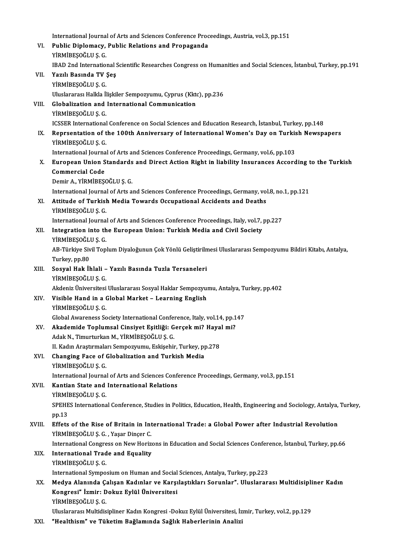International Journal of Arts and Sciences Conference Proceedings, Austria, vol.3, pp.151

- International Journal of Arts and Sciences Conference Prock<br>VI. Public Diplomacy, Public Relations and Propaganda<br>VIRMIPESOČLUS C International Journa<br>**Public Diplomacy,<br>YİRMİBEŞOĞLU Ş. G.**<br>IBAD 2nd Internation YİRMİBEŞOĞLU Ş. G.<br>IBAD 2nd International Scientific Researches Congress on Humanities and Social Sciences, İstanbul, Turkey, pp.191 VII. Yazılı Basında TV Şeş YİRMİBEŞOĞLU Ş. G. Yazılı Basında TV Şeş<br>YİRMİBEŞOĞLU Ş. G.<br>Uluslararası Halkla İlişkiler Sempozyumu, Cyprus (Kktc), pp.236<br>Clabalization and International Communisation VİRMİBEŞOĞLU Ş. G.<br>Uluslararası Halkla İlişkiler Sempozyumu, Cyprus (Kktornational Communication<br>VIII. Globalization and International Communication<br>VIPMİPESOĞLU S. C Uluslararası Halkla İl<br>Globalization and<br>YİRMİBEŞOĞLU Ş. G.<br>ICSSEP International Globalization and International Communication<br>YİRMİBEŞOĞLU Ş. G.<br>ICSSER International Conference on Social Sciences and Education Research, İstanbul, Turkey, pp.148<br>Benreentation of the 199th Anniversery of International W YİRMİBEŞOĞLU Ş. G.<br>ICSSER International Conference on Social Sciences and Education Research, İstanbul, Turkey, pp.148<br>IX. Reprsentation of the 100th Anniversary of International Women's Day on Turkish Newspapers<br>vipMi **ICSSER International**<br>Reprsentation of t<br>YİRMİBEŞOĞLU Ş. G.<br>International Iourna Reprsentation of the 100th Anniversary of International Women's Day on Turkis<br>YIRMIBEŞOĞLU Ş. G.<br>International Journal of Arts and Sciences Conference Proceedings, Germany, vol.6, pp.103<br>European Union Standards and Direct YİRMİBEŞOĞLU Ş. G.<br>International Journal of Arts and Sciences Conference Proceedings, Germany, vol.6, pp.103<br>X. European Union Standards and Direct Action Right in liability Insurances According to the Turkish<br>Commonsi International Journa<br>European Union S<br>Commercial Code<br>Domin A, ViPMIPES European Union Standards<br>Commercial Code<br>Demir A., YİRMİBEŞOĞLU Ş. G.<br>International Iournal of Arts e Commercial Code<br>Demir A., YİRMİBEŞOĞLU Ş. G.<br>International Journal of Arts and Sciences Conference Proceedings, Germany, vol.8, no.1, pp.121 Demir A., YİRMİBEŞOĞLU Ş. G.<br>International Journal of Arts and Sciences Conference Proceedings, Germany, vol<br>XI. Attitude of Turkish Media Towards Occupational Accidents and Deaths<br>VIRMIRESOĞLUS C International Journa<br>Attitude of Turkisl<br>YİRMİBEŞOĞLU Ş. G.<br>International Iourna Attitude of Turkish Media Towards Occupational Accidents and Deaths<br>YİRMİBEŞOĞLU Ş. G.<br>International Journal of Arts and Sciences Conference Proceedings, Italy, vol.7, pp.227<br>Internation inte the Euronean Union: Turkish Me YİRMİBEŞOĞLU Ş. G.<br>International Journal of Arts and Sciences Conference Proceedings, Italy, vol.7,<br>XII. Integration into the European Union: Turkish Media and Civil Society<br>VIPMİRESOĞLU S.C International Journa<br>Integration into the<br>YİRMİBEŞOĞLU Ş. G.<br>AP Türkiye Sivil Ten Integration into the European Union: Turkish Media and Civil Society<br>YİRMİBEŞOĞLU Ş. G.<br>AB-Türkiye Sivil Toplum Diyaloğunun Çok Yönlü Geliştirilmesi Uluslararası Sempozyumu Bildiri Kitabı, Antalya,<br>Turkey, np.80 YİRMİBEŞOĞL<br>AB-Türkiye Siv<br>Turkey, pp.80<br>Sosyal Hak İl AB-Türkiye Sivil Toplum Diyaloğunun Çok Yönlü Geliştiriln<br>Turkey, pp.80<br>XIII. Sosyal Hak İhlali – Yazılı Basında Tuzla Tersaneleri<br>VİDMİPESOĞLUS C Turkey, pp.80<br>Sosyal Hak İhlali –<br>YİRMİBEŞOĞLU Ş. G.<br>Akdoniz Üniversitesi YİRMİBEŞOĞLU Ş. G.<br>Akdeniz Üniversitesi Uluslararası Sosyal Haklar Sempozyumu, Antalya, Turkey, pp.402 XIV. Visible Hand in a Global Market - Learning English YİRMİBEŞOĞLUŞ.G. Visible Hand in a Global Market – Learning English<br>YİRMİBEŞOĞLU Ş. G.<br>Global Awareness Society International Conference, Italy, vol.14, pp.147<br>Akademide Tenlumsal Cinsiyet Feitliği: Cersek mi? Hayal mi? YİRMİBEŞOĞLU Ş. G.<br>Global Awareness Society International Conference, Italy, vol.14, pp.1<br>XV. Akademide Toplumsal Cinsiyet Eşitliği: Gerçek mi? Hayal mi?<br>Adel: N. Timurturkan M. VİRMİRESOĞLU S. G. XV. Akademide Toplumsal Cinsiyet Eşitliği: Gerçek mi? Hayal mi?<br>Adak N., Timurturkan M., YİRMİBEŞOĞLU Ş. G. II. Kadın Araştırmaları Sempozyumu, Eskişehir, Turkey, pp.278 XVI. Changing Face of Globalization and Turkish Media YİRMİBEŞOĞLUŞ.G. Changing Face of Globalization and Turkish Media<br>YİRMİBEŞOĞLU Ş. G.<br>International Journal of Arts and Sciences Conference Proceedings, Germany, vol.3, pp.151<br>Kantian State and International Belations YİRMİBEŞOĞLU Ş. G.<br>International Journal of Arts and Sciences Conformational Relations<br>XVII. Kantian State and International Relations<br>VIRMİRESOĞLU S. C International Journa<br>**Kantian State and<br>YİRMİBEŞOĞLU Ş. G.**<br>SPEHES Internationa SPEHES International Relations<br>SPEHES International Conference, Studies in Politics, Education, Health, Engineering and Sociology, Antalya, Turkey,<br>PD.13 YİRMİ<br>SPEHE<br>pp.13<br>Effete SPEHES International Conference, Studies in Politics, Education, Health, Engineering and Sociology, Antalya,<br>pp.13<br>XVIII. Effets of the Rise of Britain in International Trade: a Global Power after Industrial Revolution<br>vip pp.13<br>Effets of the Rise of Britain in Int<br>YİRMİBEŞOĞLUŞ.G. , Yaşar Dinçer C.<br>International Congress on New Heriz Effets of the Rise of Britain in International Trade: a Global Power after Industrial Revolution<br>YİRMİBEŞOĞLU Ş. G. , Yaşar Dinçer C.<br>International Congress on New Horizons in Education and Social Sciences Conference, İsta YİRMİBEŞOĞLU Ş. G. , Yaşar Dinçer C.<br>International Congress on New Horiz<br>XIX. International Trade and Equality<br>YİRMİBESOĞLU S. G. International Congress on New Horizons in Education and Social Sciences Conference, İstanbul, Turkey, pp.66 International Symposium on Human and Social Sciences, Antalya, Turkey, pp.223 YİRMİBEŞOĞLU Ş. G.<br>International Symposium on Human and Social Sciences, Antalya, Turkey, pp.223<br>XX. Medya Alanında Çalışan Kadınlar ve Karşılaştıkları Sorunlar". Uluslararası Multidisipliner Kadın<br>Kangnesi" İsmin: Del International Symposium on Human and Social<br>Medya Alanında Çalışan Kadınlar ve Karşı<br>Kongresi" İzmir: Dokuz Eylül Üniversitesi<br>vipMipESOČLUS C Medya Alanında Ç.<br>Kongresi" İzmir: D<br>YİRMİBEŞOĞLU Ş. G.<br>Uluslararası Multidia Kongresi" İzmir: Dokuz Eylül Üniversitesi<br>YİRMİBEŞOĞLU Ş. G.<br>Uluslararası Multidisipliner Kadın Kongresi -Dokuz Eylül Üniversitesi, İzmir, Turkey, vol.2, pp.129
- XXI. "Healthism" ve Tüketim Bağlamında Sağlık Haberlerinin Analizi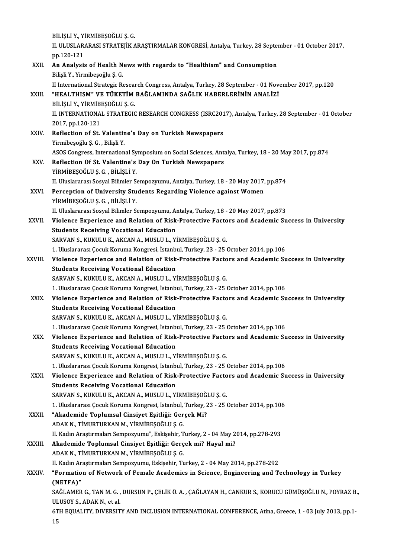|                 | BİLİŞLİ Y, YİRMİBEŞOĞLU Ş. G.                                                                                                                                           |
|-----------------|-------------------------------------------------------------------------------------------------------------------------------------------------------------------------|
|                 | II. ULUSLARARASI STRATEJİK ARAŞTIRMALAR KONGRESİ, Antalya, Turkey, 28 September - 01 October 2017,<br>pp 120-121                                                        |
| XXII.           | An Analysis of Health News with regards to "Healthism" and Consumption                                                                                                  |
|                 | Bilişli Y., Yirmibeşoğlu Ş. G.                                                                                                                                          |
| XXIII.          | II International Strategic Research Congress, Antalya, Turkey, 28 September - 01 November 2017, pp.120<br>"HEALTHISM" VE TÜKETİM BAĞLAMINDA SAĞLIK HABERLERİNİN ANALİZİ |
|                 | BİLİŞLİ Y, YİRMİBEŞOĞLU Ş. G.                                                                                                                                           |
|                 | II. INTERNATIONAL STRATEGIC RESEARCH CONGRESS (ISRC2017), Antalya, Turkey, 28 September - 01 October                                                                    |
|                 | 2017, pp 120-121                                                                                                                                                        |
| XXIV            | Reflection of St. Valentine's Day on Turkish Newspapers                                                                                                                 |
|                 | Yirmibeşoğlu Ş. G., Bilişli Y.                                                                                                                                          |
|                 | ASOS Congress, International Symposium on Social Sciences, Antalya, Turkey, 18 - 20 May 2017, pp.874                                                                    |
| XXV.            | Reflection Of St. Valentine's Day On Turkish Newspapers                                                                                                                 |
|                 | YİRMİBEŞOĞLU Ş. G., BİLİŞLİ Y.                                                                                                                                          |
|                 | II. Uluslararası Sosyal Bilimler Sempozyumu, Antalya, Turkey, 18 - 20 May 2017, pp.874                                                                                  |
| XXVI.<br>XXVII. | Perception of University Students Regarding Violence against Women                                                                                                      |
|                 | YİRMİBEŞOĞLU Ş. G., BİLİŞLİ Y.<br>II. Uluslararası Sosyal Bilimler Sempozyumu, Antalya, Turkey, 18 - 20 May 2017, pp.873                                                |
|                 | Violence Experience and Relation of Risk-Protective Factors and Academic Success in University                                                                          |
|                 | <b>Students Receiving Vocational Education</b>                                                                                                                          |
|                 | SARVAN S., KUKULU K., AKCAN A., MUSLU L., YİRMİBEŞOĞLU Ş. G.                                                                                                            |
|                 | 1. Uluslararası Çocuk Koruma Kongresi, İstanbul, Turkey, 23 - 25 October 2014, pp.106                                                                                   |
| XXVIII.         | Violence Experience and Relation of Risk-Protective Factors and Academic Success in University                                                                          |
|                 | <b>Students Receiving Vocational Education</b>                                                                                                                          |
|                 | SARVAN S., KUKULU K., AKCAN A., MUSLU L., YİRMİBEŞOĞLU Ş. G.                                                                                                            |
|                 | 1. Uluslararası Çocuk Koruma Kongresi, İstanbul, Turkey, 23 - 25 October 2014, pp.106                                                                                   |
| XXIX.           | Violence Experience and Relation of Risk-Protective Factors and Academic Success in University                                                                          |
|                 | <b>Students Receiving Vocational Education</b>                                                                                                                          |
|                 | SARVAN S., KUKULU K., AKCAN A., MUSLU L., YİRMİBEŞOĞLU Ş. G.                                                                                                            |
|                 | 1. Uluslararası Çocuk Koruma Kongresi, İstanbul, Turkey, 23 - 25 October 2014, pp.106                                                                                   |
| XXX.            | Violence Experience and Relation of Risk-Protective Factors and Academic Success in University                                                                          |
|                 | <b>Students Receiving Vocational Education</b>                                                                                                                          |
|                 | SARVAN S., KUKULU K., AKCAN A., MUSLU L., YİRMİBEŞOĞLU Ş. G.                                                                                                            |
|                 | 1. Uluslararası Çocuk Koruma Kongresi, İstanbul, Turkey, 23 - 25 October 2014, pp.106                                                                                   |
| XXXI.           | Violence Experience and Relation of Risk-Protective Factors and Academic Success in University                                                                          |
|                 | <b>Students Receiving Vocational Education</b>                                                                                                                          |
|                 | SARVAN S., KUKULU K., AKCAN A., MUSLU L., YİRMİBEŞOĞLU Ş. G.                                                                                                            |
|                 | 1. Uluslararası Çocuk Koruma Kongresi, İstanbul, Turkey, 23 - 25 October 2014, pp.106                                                                                   |
| XXXII.          | "Akademide Toplumsal Cinsiyet Eşitliği: Gerçek Mi?                                                                                                                      |
|                 | ADAK N., TİMURTURKAN M., YİRMİBEŞOĞLU Ş. G.                                                                                                                             |
|                 | II. Kadın Araştırmaları Sempozyumu", Eskişehir, Turkey, 2 - 04 May 2014, pp.278-293                                                                                     |
| XXXIII          | Akademide Toplumsal Cinsiyet Eşitliği: Gerçek mi? Hayal mi?<br>ADAK N., TİMURTURKAN M., YİRMİBEŞOĞLU Ş. G.                                                              |
|                 | II. Kadın Araştırmaları Sempozyumu, Eskişehir, Turkey, 2 - 04 May 2014, pp.278-292                                                                                      |
| XXXIV.          | "Formation of Network of Female Academics in Science, Engineering and Technology in Turkey<br>(NETFA)"                                                                  |
|                 | SAĞLAMER G., TAN M. G., DURSUN P., ÇELİK Ö. A., ÇAĞLAYAN H., CANKUR S., KORUCU GÜMÜŞOĞLU N., POYRAZ B.,<br>ULUSOY S., ADAK N., et al.                                   |
|                 | 6TH EQUALITY, DIVERSITY AND INCLUSION INTERNATIONAL CONFERENCE, Atina, Greece, 1 - 03 July 2013, pp.1-                                                                  |
|                 | 15                                                                                                                                                                      |
|                 |                                                                                                                                                                         |